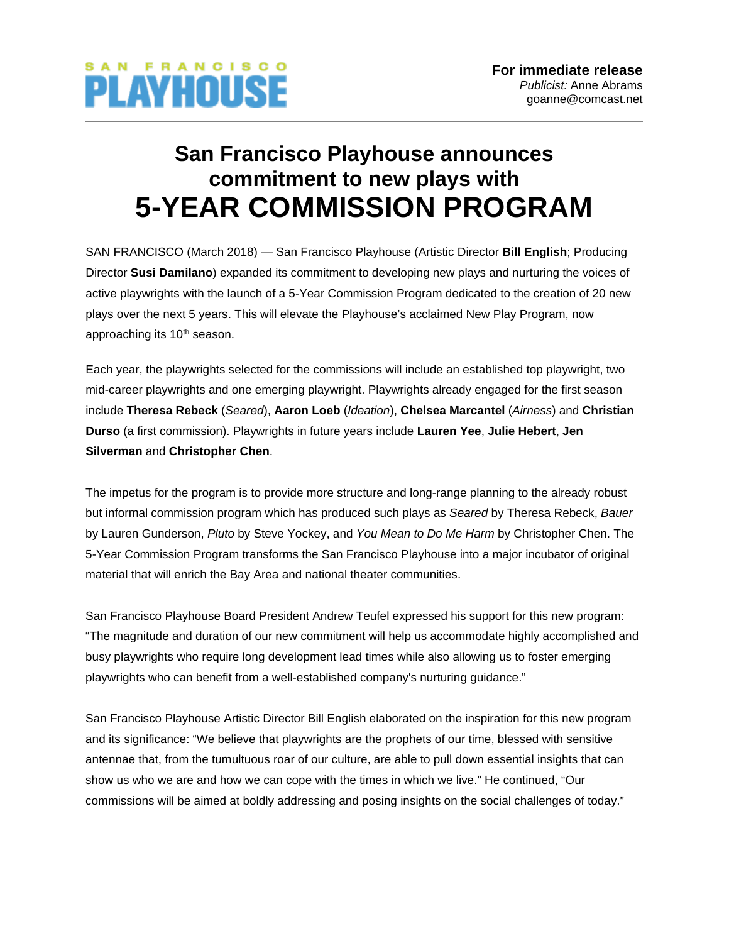

## **San Francisco Playhouse announces commitment to new plays with 5-YEAR COMMISSION PROGRAM**

SAN FRANCISCO (March 2018) — San Francisco Playhouse (Artistic Director **Bill English**; Producing Director **Susi Damilano**) expanded its commitment to developing new plays and nurturing the voices of active playwrights with the launch of a 5-Year Commission Program dedicated to the creation of 20 new plays over the next 5 years. This will elevate the Playhouse's acclaimed New Play Program, now approaching its 10<sup>th</sup> season.

Each year, the playwrights selected for the commissions will include an established top playwright, two mid-career playwrights and one emerging playwright. Playwrights already engaged for the first season include **Theresa Rebeck** (*Seared*), **Aaron Loeb** (*Ideation*), **Chelsea Marcantel** (*Airness*) and **Christian Durso** (a first commission). Playwrights in future years include **Lauren Yee**, **Julie Hebert**, **Jen Silverman** and **Christopher Chen**.

The impetus for the program is to provide more structure and long-range planning to the already robust but informal commission program which has produced such plays as *Seared* by Theresa Rebeck, *Bauer* by Lauren Gunderson, *Pluto* by Steve Yockey, and *You Mean to Do Me Harm* by Christopher Chen. The 5-Year Commission Program transforms the San Francisco Playhouse into a major incubator of original material that will enrich the Bay Area and national theater communities.

San Francisco Playhouse Board President Andrew Teufel expressed his support for this new program: "The magnitude and duration of our new commitment will help us accommodate highly accomplished and busy playwrights who require long development lead times while also allowing us to foster emerging playwrights who can benefit from a well-established company's nurturing guidance."

San Francisco Playhouse Artistic Director Bill English elaborated on the inspiration for this new program and its significance: "We believe that playwrights are the prophets of our time, blessed with sensitive antennae that, from the tumultuous roar of our culture, are able to pull down essential insights that can show us who we are and how we can cope with the times in which we live." He continued, "Our commissions will be aimed at boldly addressing and posing insights on the social challenges of today."